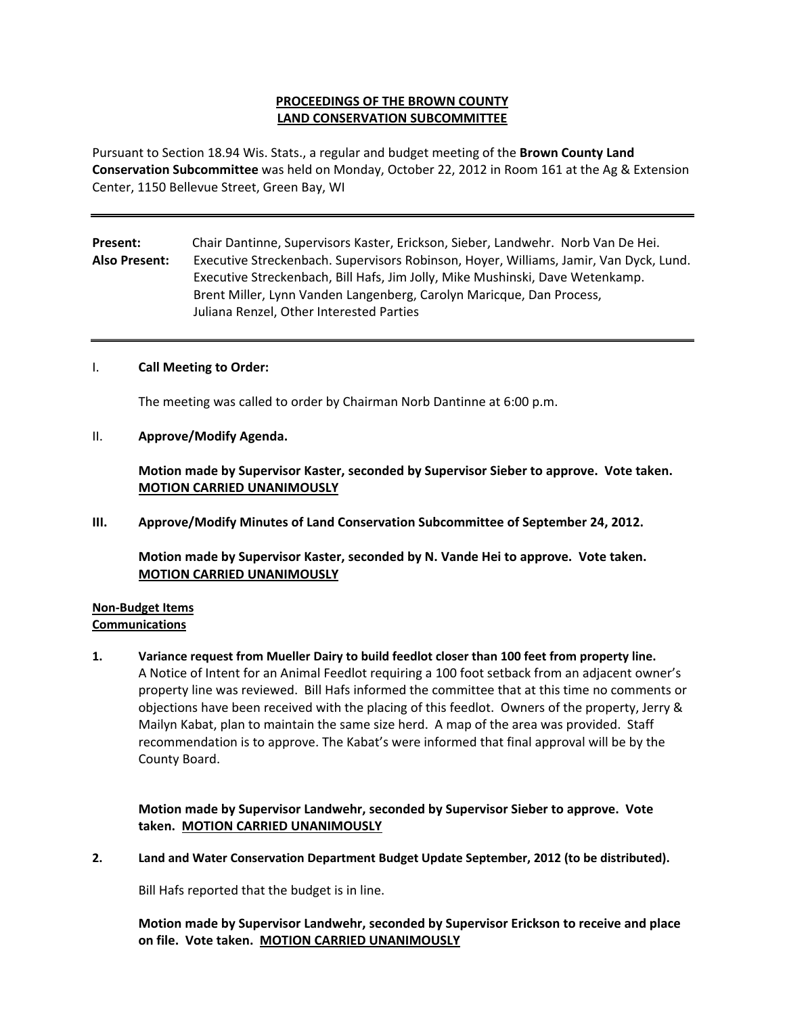## **PROCEEDINGS OF THE BROWN COUNTY LAND CONSERVATION SUBCOMMITTEE**

Pursuant to Section 18.94 Wis. Stats., a regular and budget meeting of the **Brown County Land Conservation Subcommittee** was held on Monday, October 22, 2012 in Room 161 at the Ag & Extension Center, 1150 Bellevue Street, Green Bay, WI

**Present:** Chair Dantinne, Supervisors Kaster, Erickson, Sieber, Landwehr. Norb Van De Hei. **Also Present:** Executive Streckenbach. Supervisors Robinson, Hoyer, Williams, Jamir, Van Dyck, Lund. Executive Streckenbach, Bill Hafs, Jim Jolly, Mike Mushinski, Dave Wetenkamp. Brent Miller, Lynn Vanden Langenberg, Carolyn Maricque, Dan Process, Juliana Renzel, Other Interested Parties

### I. **Call Meeting to Order:**

The meeting was called to order by Chairman Norb Dantinne at 6:00 p.m.

II. **Approve/Modify Agenda.**

**Motion made by Supervisor Kaster, seconded by Supervisor Sieber to approve. Vote taken. MOTION CARRIED UNANIMOUSLY**

**III. Approve/Modify Minutes of Land Conservation Subcommittee of September 24, 2012.**

**Motion made by Supervisor Kaster, seconded by N. Vande Hei to approve. Vote taken. MOTION CARRIED UNANIMOUSLY**

#### **Non‐Budget Items Communications**

**1. Variance request from Mueller Dairy to build feedlot closer than 100 feet from property line.** A Notice of Intent for an Animal Feedlot requiring a 100 foot setback from an adjacent owner's property line was reviewed. Bill Hafs informed the committee that at this time no comments or objections have been received with the placing of this feedlot. Owners of the property, Jerry & Mailyn Kabat, plan to maintain the same size herd. A map of the area was provided. Staff recommendation is to approve. The Kabat's were informed that final approval will be by the County Board.

**Motion made by Supervisor Landwehr, seconded by Supervisor Sieber to approve. Vote taken. MOTION CARRIED UNANIMOUSLY**

**2. Land and Water Conservation Department Budget Update September, 2012 (to be distributed).**

Bill Hafs reported that the budget is in line.

**Motion made by Supervisor Landwehr, seconded by Supervisor Erickson to receive and place on file. Vote taken. MOTION CARRIED UNANIMOUSLY**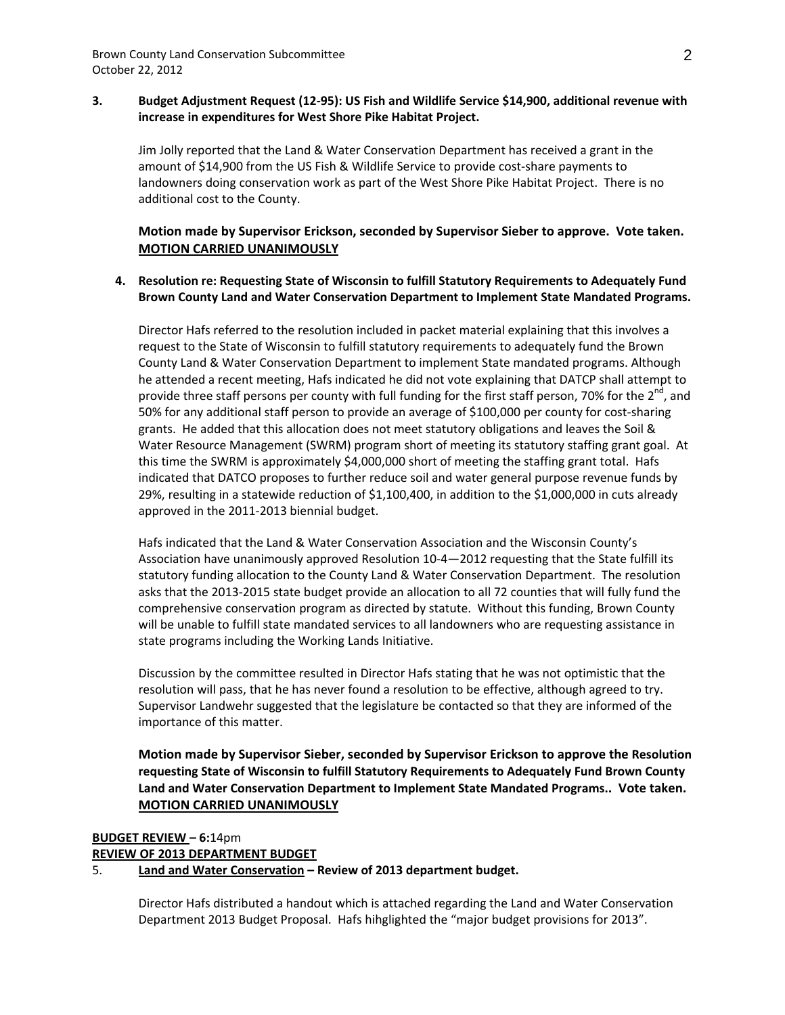### **3. Budget Adjustment Request (12‐95): US Fish and Wildlife Service \$14,900, additional revenue with increase in expenditures for West Shore Pike Habitat Project.**

Jim Jolly reported that the Land & Water Conservation Department has received a grant in the amount of \$14,900 from the US Fish & Wildlife Service to provide cost‐share payments to landowners doing conservation work as part of the West Shore Pike Habitat Project. There is no additional cost to the County.

### **Motion made by Supervisor Erickson, seconded by Supervisor Sieber to approve. Vote taken. MOTION CARRIED UNANIMOUSLY**

### **4. Resolution re: Requesting State of Wisconsin to fulfill Statutory Requirements to Adequately Fund Brown County Land and Water Conservation Department to Implement State Mandated Programs.**

Director Hafs referred to the resolution included in packet material explaining that this involves a request to the State of Wisconsin to fulfill statutory requirements to adequately fund the Brown County Land & Water Conservation Department to implement State mandated programs. Although he attended a recent meeting, Hafs indicated he did not vote explaining that DATCP shall attempt to provide three staff persons per county with full funding for the first staff person, 70% for the 2<sup>nd</sup>, and 50% for any additional staff person to provide an average of \$100,000 per county for cost-sharing grants. He added that this allocation does not meet statutory obligations and leaves the Soil & Water Resource Management (SWRM) program short of meeting its statutory staffing grant goal. At this time the SWRM is approximately \$4,000,000 short of meeting the staffing grant total. Hafs indicated that DATCO proposes to further reduce soil and water general purpose revenue funds by 29%, resulting in a statewide reduction of \$1,100,400, in addition to the \$1,000,000 in cuts already approved in the 2011‐2013 biennial budget.

Hafs indicated that the Land & Water Conservation Association and the Wisconsin County's Association have unanimously approved Resolution 10‐4—2012 requesting that the State fulfill its statutory funding allocation to the County Land & Water Conservation Department. The resolution asks that the 2013‐2015 state budget provide an allocation to all 72 counties that will fully fund the comprehensive conservation program as directed by statute. Without this funding, Brown County will be unable to fulfill state mandated services to all landowners who are requesting assistance in state programs including the Working Lands Initiative.

Discussion by the committee resulted in Director Hafs stating that he was not optimistic that the resolution will pass, that he has never found a resolution to be effective, although agreed to try. Supervisor Landwehr suggested that the legislature be contacted so that they are informed of the importance of this matter.

**Motion made by Supervisor Sieber, seconded by Supervisor Erickson to approve the Resolution requesting State of Wisconsin to fulfill Statutory Requirements to Adequately Fund Brown County Land and Water Conservation Department to Implement State Mandated Programs.. Vote taken. MOTION CARRIED UNANIMOUSLY**

# **BUDGET REVIEW – 6:**14pm

### **REVIEW OF 2013 DEPARTMENT BUDGET**

### 5. **Land and Water Conservation – Review of 2013 department budget.**

Director Hafs distributed a handout which is attached regarding the Land and Water Conservation Department 2013 Budget Proposal. Hafs hihglighted the "major budget provisions for 2013".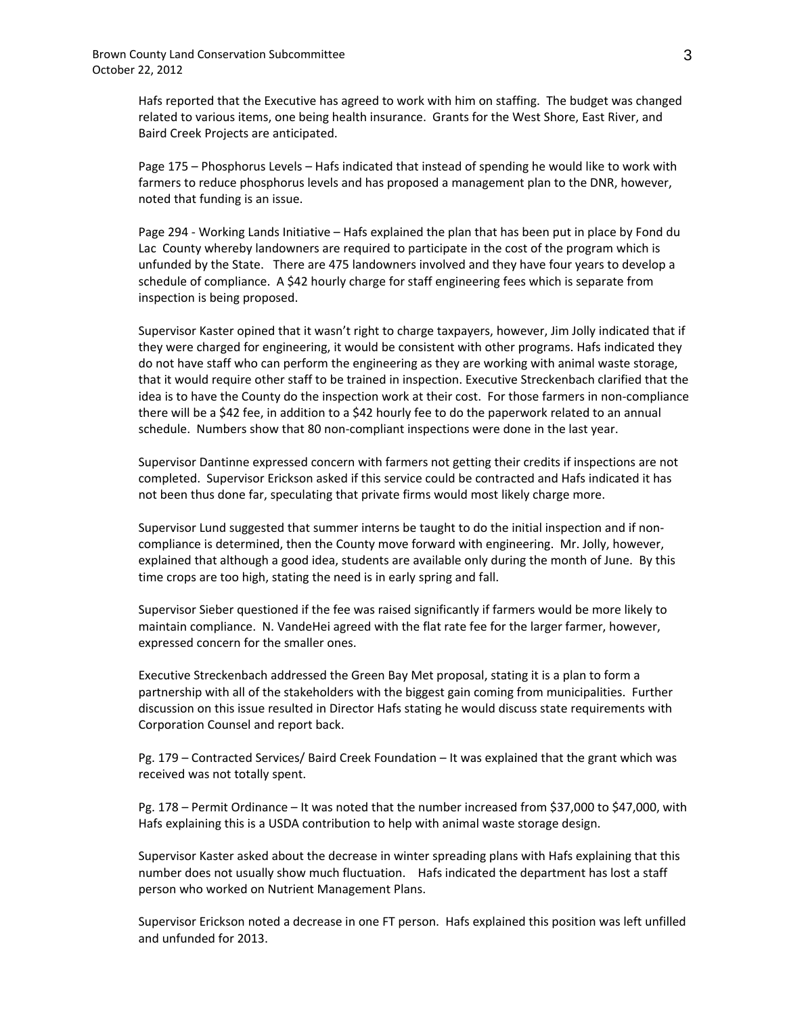Hafs reported that the Executive has agreed to work with him on staffing. The budget was changed related to various items, one being health insurance. Grants for the West Shore, East River, and Baird Creek Projects are anticipated.

Page 175 – Phosphorus Levels – Hafs indicated that instead of spending he would like to work with farmers to reduce phosphorus levels and has proposed a management plan to the DNR, however, noted that funding is an issue.

Page 294 ‐ Working Lands Initiative – Hafs explained the plan that has been put in place by Fond du Lac County whereby landowners are required to participate in the cost of the program which is unfunded by the State. There are 475 landowners involved and they have four years to develop a schedule of compliance. A \$42 hourly charge for staff engineering fees which is separate from inspection is being proposed.

Supervisor Kaster opined that it wasn't right to charge taxpayers, however, Jim Jolly indicated that if they were charged for engineering, it would be consistent with other programs. Hafs indicated they do not have staff who can perform the engineering as they are working with animal waste storage, that it would require other staff to be trained in inspection. Executive Streckenbach clarified that the idea is to have the County do the inspection work at their cost. For those farmers in non‐compliance there will be a \$42 fee, in addition to a \$42 hourly fee to do the paperwork related to an annual schedule. Numbers show that 80 non‐compliant inspections were done in the last year.

Supervisor Dantinne expressed concern with farmers not getting their credits if inspections are not completed. Supervisor Erickson asked if this service could be contracted and Hafs indicated it has not been thus done far, speculating that private firms would most likely charge more.

Supervisor Lund suggested that summer interns be taught to do the initial inspection and if non‐ compliance is determined, then the County move forward with engineering. Mr. Jolly, however, explained that although a good idea, students are available only during the month of June. By this time crops are too high, stating the need is in early spring and fall.

Supervisor Sieber questioned if the fee was raised significantly if farmers would be more likely to maintain compliance. N. VandeHei agreed with the flat rate fee for the larger farmer, however, expressed concern for the smaller ones.

Executive Streckenbach addressed the Green Bay Met proposal, stating it is a plan to form a partnership with all of the stakeholders with the biggest gain coming from municipalities. Further discussion on this issue resulted in Director Hafs stating he would discuss state requirements with Corporation Counsel and report back.

Pg. 179 – Contracted Services/ Baird Creek Foundation – It was explained that the grant which was received was not totally spent.

Pg. 178 – Permit Ordinance – It was noted that the number increased from \$37,000 to \$47,000, with Hafs explaining this is a USDA contribution to help with animal waste storage design.

Supervisor Kaster asked about the decrease in winter spreading plans with Hafs explaining that this number does not usually show much fluctuation. Hafs indicated the department has lost a staff person who worked on Nutrient Management Plans.

Supervisor Erickson noted a decrease in one FT person. Hafs explained this position was left unfilled and unfunded for 2013.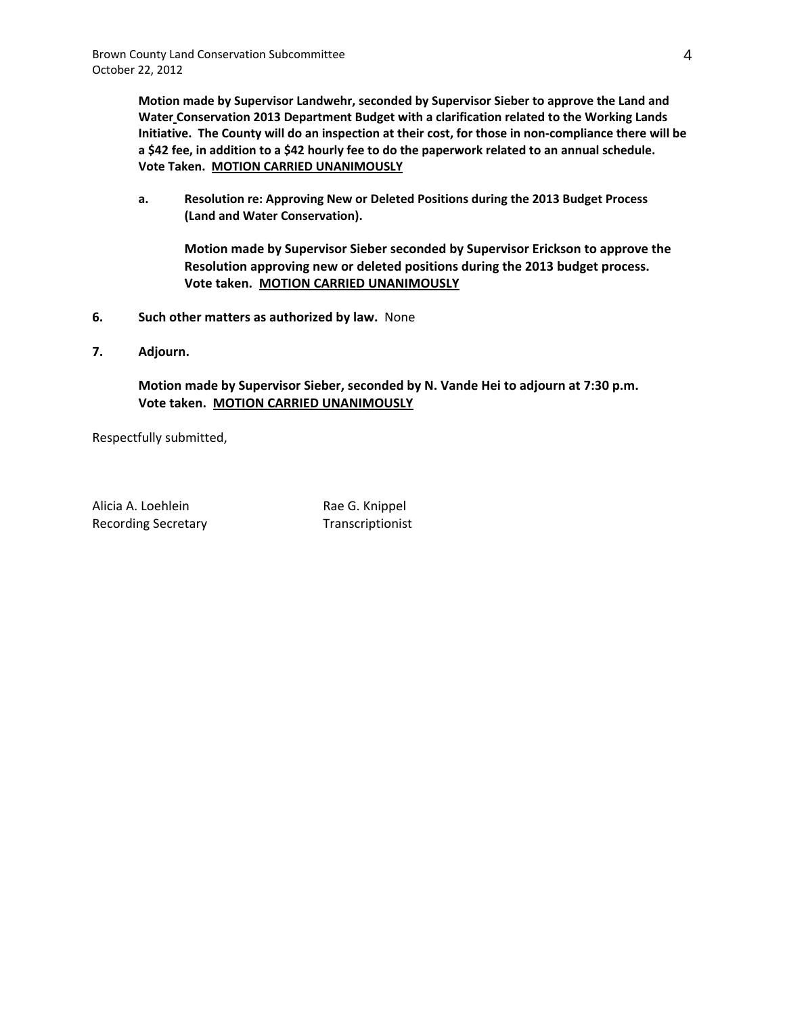**Motion made by Supervisor Landwehr, seconded by Supervisor Sieber to approve the Land and Water Conservation 2013 Department Budget with a clarification related to the Working Lands** Initiative. The County will do an inspection at their cost, for those in non-compliance there will be a \$42 fee, in addition to a \$42 hourly fee to do the paperwork related to an annual schedule. **Vote Taken. MOTION CARRIED UNANIMOUSLY**

**a. Resolution re: Approving New or Deleted Positions during the 2013 Budget Process (Land and Water Conservation).** 

**Motion made by Supervisor Sieber seconded by Supervisor Erickson to approve the Resolution approving new or deleted positions during the 2013 budget process. Vote taken. MOTION CARRIED UNANIMOUSLY**

- **6. Such other matters as authorized by law.** None
- **7. Adjourn.**

**Motion made by Supervisor Sieber, seconded by N. Vande Hei to adjourn at 7:30 p.m. Vote taken. MOTION CARRIED UNANIMOUSLY**

Respectfully submitted,

Alicia A. Loehlein Rae G. Knippel Recording Secretary Transcriptionist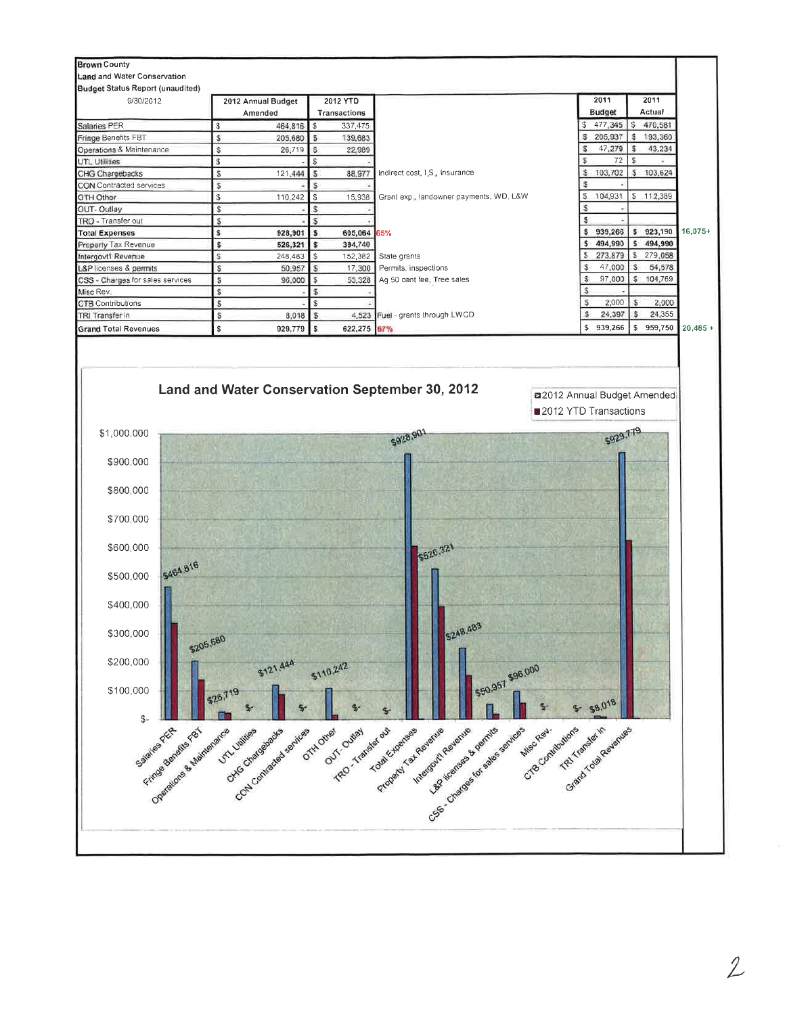

 $\overline{2}$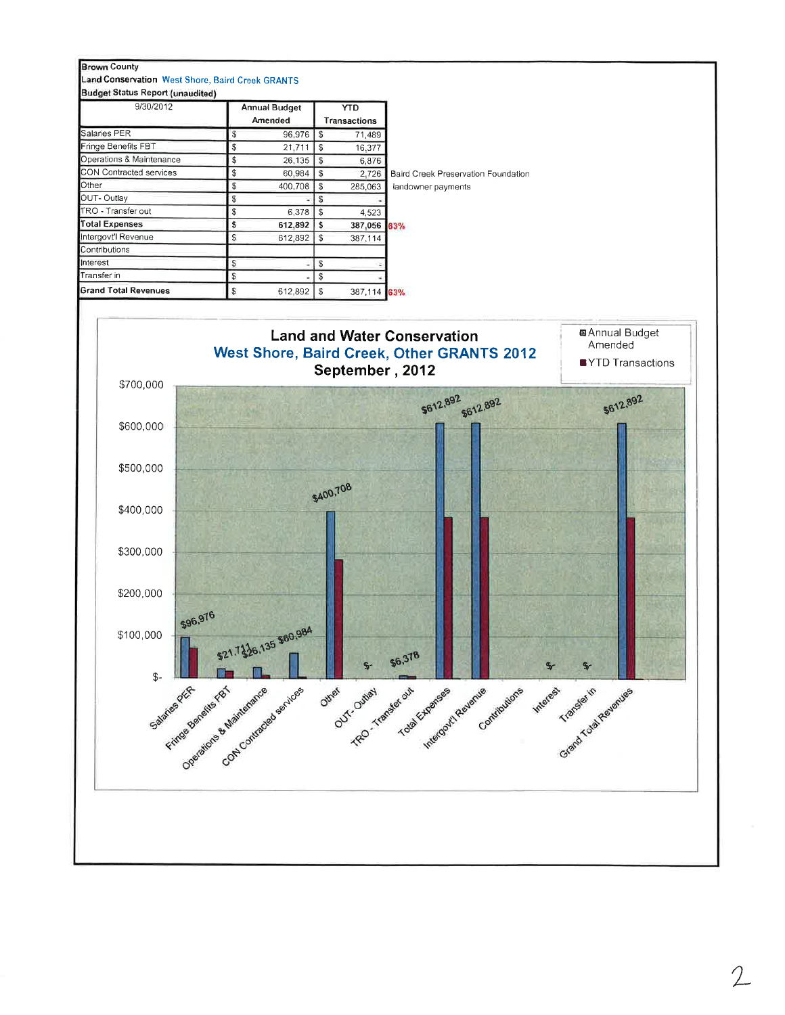

 $\overline{2}$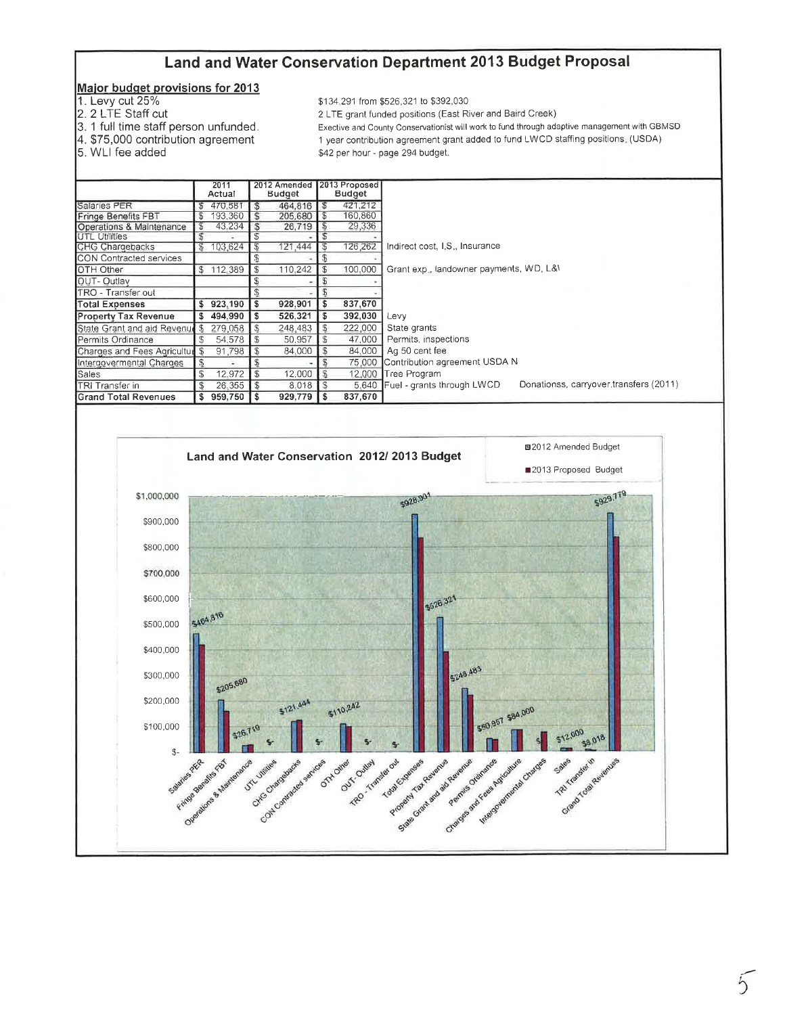# Land and Water Conservation Department 2013 Budget Proposal

### Major budget provisions for 2013

- 1. Levy cut 25%
- 
- 2. 2 LTE Staff cut<br>3. 1 full time staff person unfunded.
- 4. \$75,000 contribution agreement<br>5. WLI fee added
- 

\$134,291 from \$526,321 to \$392,030

2 LTE grant funded positions (East River and Baird Creek)

Exective and County Conservationist will work to fund through adaptive management with GBMSD 1 year contribution agreement grant added to fund LWCD staffing positions. (USDA) \$42 per hour - page 294 budget.

|                                 |      |           | 2012 Amended   2013 Proposed |               |    |               |                                                                             |
|---------------------------------|------|-----------|------------------------------|---------------|----|---------------|-----------------------------------------------------------------------------|
|                                 | 2011 |           |                              |               |    |               |                                                                             |
|                                 |      | Actual    |                              | <b>Budget</b> |    | <b>Budget</b> |                                                                             |
| Salaries PER                    |      | 470,581   | S                            | 464,816       |    | 421.212       |                                                                             |
| Fringe Benefits FBT             |      | 193,360   | \$                           | 205,680       | \$ | 160,860       |                                                                             |
| Operations & Maintenance        |      | 43,234    | S                            | 26,719        | \$ | 29,336        |                                                                             |
| <b>UTL Utilities</b>            |      |           |                              |               |    |               |                                                                             |
| CHG Chargebacks                 | S    | 103,624   | S                            | 121.444       | S. | 126,262       | Indirect cost, I.S., Insurance                                              |
| <b>CON Contracted services</b>  |      |           |                              |               | ъ  |               |                                                                             |
| IOTH Other                      |      | \$112.389 | \$                           | 110,242       | S  | 100,000       | Grant exp., landowner payments, WD, L&\                                     |
| OUT-Outlay                      |      |           |                              |               | S  |               |                                                                             |
| ITRO - Transfer out             |      |           |                              |               |    |               |                                                                             |
| <b>Total Expenses</b>           | \$   | 923,190   | \$                           | 928,901       | \$ | 837,670       |                                                                             |
| Property Tax Revenue            |      | 494,990   | \$                           | 526,321       | \$ | 392,030       | Levy                                                                        |
| State Grant and aid Revenue \$  |      | 279,058   | S                            | 248,483       | S  | 222,000       | State grants                                                                |
| Permits Ordinance               | S    | 54,578    | \$                           | 50,957        | S  | 47,000        | Permits, inspections                                                        |
| Charges and Fees Agriculture \$ |      | 91.798    | S                            | 84,000        | \$ | 84,000        | Ag 50 cent fee                                                              |
| Intergovermental Charges        |      |           |                              |               | £  | 75,000        | Contribution agreement USDA N                                               |
| Sales                           | \$   | 12,972    | \$                           | 12,000        | S  | 12,000        | Tree Program                                                                |
| ITRI Transfer in                | \$   | 26,355    | \$                           | 8,018         | S  |               | Donationss, carryover, transfers (2011)<br>5,640 Fuel - grants through LWCD |
| <b>Grand Total Revenues</b>     | s    | 959,750   | S                            | 929,779       | \$ | 837,670       |                                                                             |
|                                 |      |           |                              |               |    |               |                                                                             |